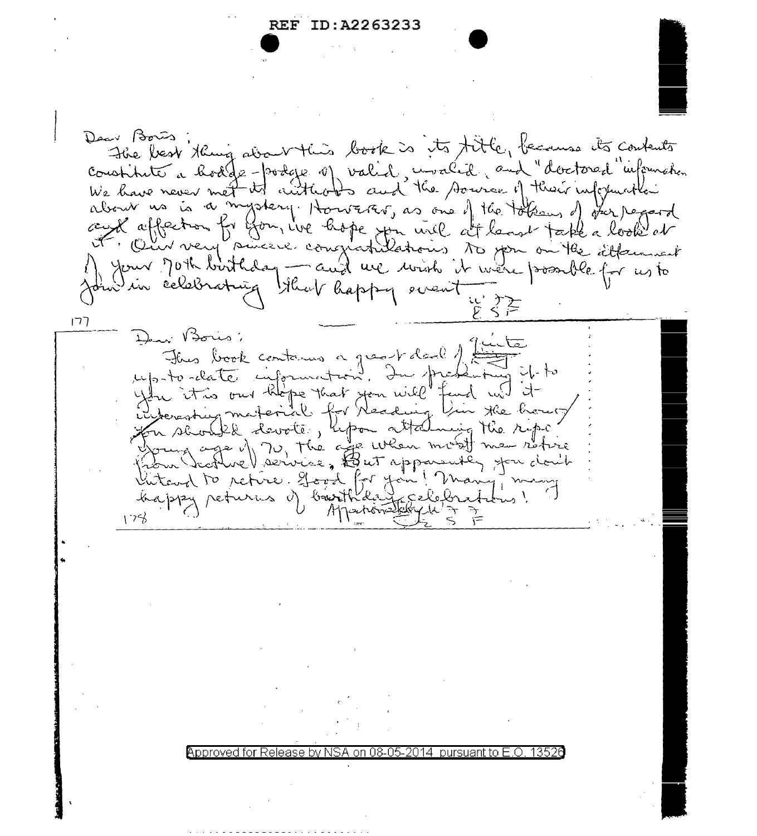## REF ID:A2263233

Dear Bois The best thing about this book is its title, because its contents constituté à hodge-podge of valid, unalid, and "doctored" information We have never met its autreables and the source of their information about us is a mystery. However, as one of the token, of the peoport cent affection for form we hope you will at langt take a look of your joth birthday - and we wish it were possible for us to In in celebrating likely happy event  $177$ Dear Bois: This book contours a great deal of up-to-clate information. Archan u it is our hepe that you will fend wit it ing the though majorial for Nead n should devote, hpon attalning the ripe ge of 70, the age when most me setire in Scotlive ) service, to ut apparently for don't luteur to retire. good for you! Many!<br>happy returns of bourthday celeforation  $176$ Approved for Release by NSA on 08-05-2014 pursuant to E.O.